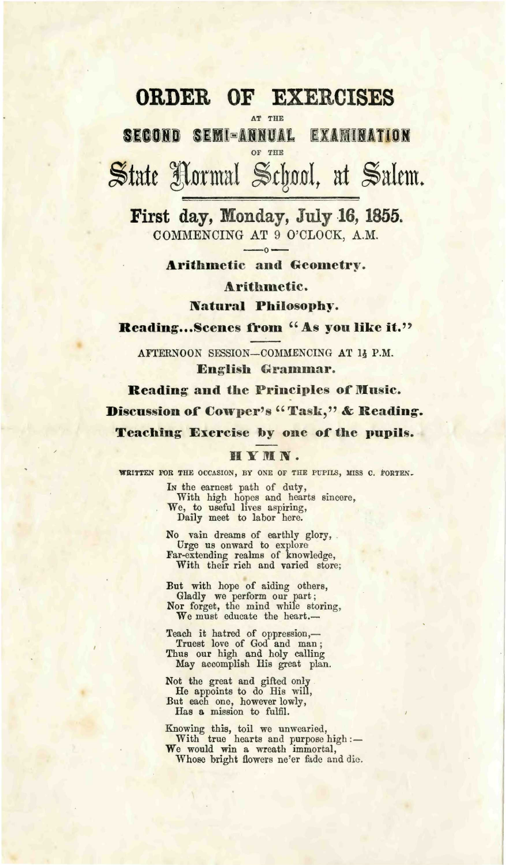## **ORDER OF EXERCISES**

AT **THE** 

SECOND SEMI-ANNUAL EXAMINATION OF THE

State formal *§t\wlt* at Salem,

First day, Monday, July 16,1855. COMMENCING AT 9 O'CLOCK, A.M.

Arithmetic and Geometry.

Arithmetic.

Natural Philosophy.

Reading...Scenes from "As you like it."

AFTERNOON SESSION-COMMENCING AT 1} P.M. English Grammar.

Reading and the Principles of Music. Discussion of Cowper's "Task," & Reading. Teaching Exercise by one of the pupils.

## HYMN.

**WRITTEN** FOR THE OCCASION, BY ONE OF THE PUPILS, MISS C. FORTEN.

In the earnest path of duty,<br>With high hopes and hearts sincere,<br>We, to useful lives aspiring, Daily meet to labor here.

No vain dreams of earthly glory, . Urge us onward to explore Far-extending realms of knowledge, With their rich and varied store;

But with hope of aiding others, Gladly we perform our part; Nor forget, the mind while storing, We must educate the heart.—

Teach it hatred of oppression,— Truest love of God and man; Thus our high and holy calling May accomplish His great plan.

Not the great and gifted only He appoints to do His will, But each one, however lowly, Has a mission to fulfil.

Knowing this, toil we unwearied,<br>With true hearts and purpose high :-<br>We would win a wreath immortal,

Whose bright flowers ne'er fade and die.